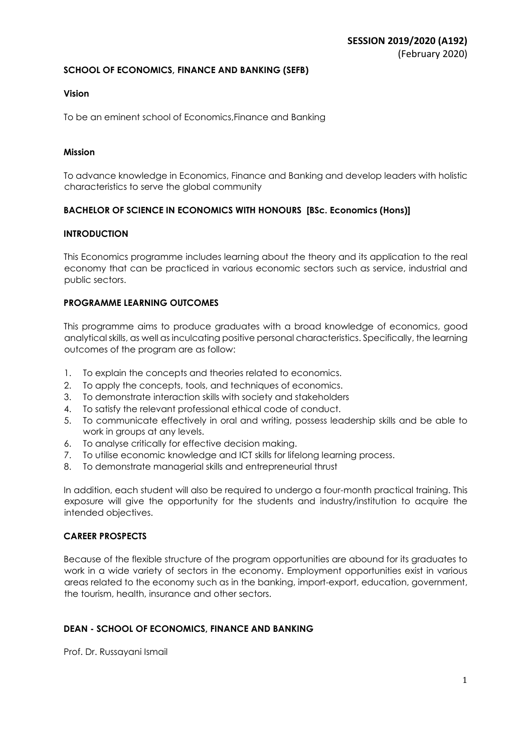#### **SCHOOL OF ECONOMICS, FINANCE AND BANKING (SEFB)**

### **Vision**

To be an eminent school of Economics,Finance and Banking

### **Mission**

To advance knowledge in Economics, Finance and Banking and develop leaders with holistic characteristics to serve the global community

### **BACHELOR OF SCIENCE IN ECONOMICS WITH HONOURS [BSc. Economics (Hons)]**

### **INTRODUCTION**

This Economics programme includes learning about the theory and its application to the real economy that can be practiced in various economic sectors such as service, industrial and public sectors.

### **PROGRAMME LEARNING OUTCOMES**

This programme aims to produce graduates with a broad knowledge of economics, good analytical skills, as well as inculcating positive personal characteristics. Specifically, the learning outcomes of the program are as follow:

- 1. To explain the concepts and theories related to economics.
- 2. To apply the concepts, tools, and techniques of economics.
- 3. To demonstrate interaction skills with society and stakeholders
- 4. To satisfy the relevant professional ethical code of conduct.
- 5. To communicate effectively in oral and writing, possess leadership skills and be able to work in groups at any levels.
- 6. To analyse critically for effective decision making.
- 7. To utilise economic knowledge and ICT skills for lifelong learning process.
- 8. To demonstrate managerial skills and entrepreneurial thrust

In addition, each student will also be required to undergo a four-month practical training. This exposure will give the opportunity for the students and industry/institution to acquire the intended objectives.

#### **CAREER PROSPECTS**

Because of the flexible structure of the program opportunities are abound for its graduates to work in a wide variety of sectors in the economy. Employment opportunities exist in various areas related to the economy such as in the banking, import-export, education, government, the tourism, health, insurance and other sectors.

### **DEAN - SCHOOL OF ECONOMICS, FINANCE AND BANKING**

Prof. Dr. Russayani Ismail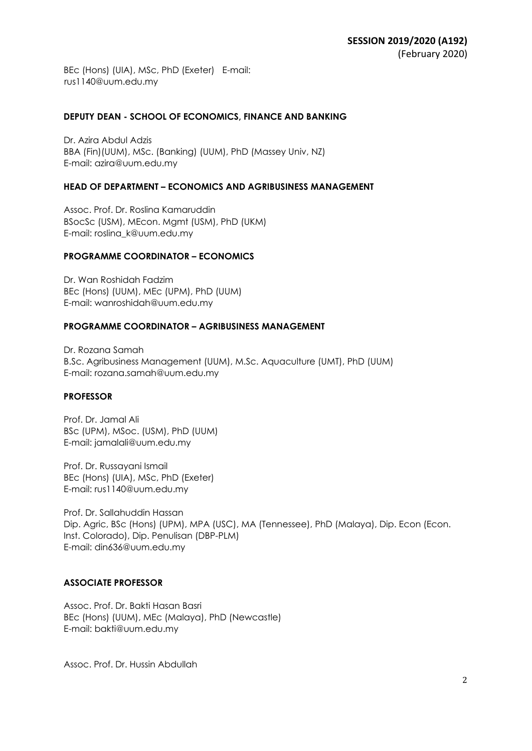BEc (Hons) (UIA), MSc, PhD (Exeter) E-mail: rus1140@uum.edu.my

#### **DEPUTY DEAN - SCHOOL OF ECONOMICS, FINANCE AND BANKING**

Dr. Azira Abdul Adzis BBA (Fin)(UUM), MSc. (Banking) (UUM), PhD (Massey Univ, NZ) E-mail: azira@uum.edu.my

#### **HEAD OF DEPARTMENT – ECONOMICS AND AGRIBUSINESS MANAGEMENT**

Assoc. Prof. Dr. Roslina Kamaruddin BSocSc (USM), MEcon. Mgmt (USM), PhD (UKM) E-mail: roslina\_k@uum.edu.my

#### **PROGRAMME COORDINATOR – ECONOMICS**

Dr. Wan Roshidah Fadzim BEc (Hons) (UUM), MEc (UPM), PhD (UUM) E-mail: wanroshidah@uum.edu.my

#### **PROGRAMME COORDINATOR – AGRIBUSINESS MANAGEMENT**

Dr. Rozana Samah B.Sc. Agribusiness Management (UUM), M.Sc. Aquaculture (UMT), PhD (UUM) E-mail: rozana.samah@uum.edu.my

#### **PROFESSOR**

Prof. Dr. Jamal Ali BSc (UPM), MSoc. (USM), PhD (UUM) E-mail: jamalali@uum.edu.my

Prof. Dr. Russayani Ismail BEc (Hons) (UIA), MSc, PhD (Exeter) E-mail: rus1140@uum.edu.my

Prof. Dr. Sallahuddin Hassan Dip. Agric, BSc (Hons) (UPM), MPA (USC), MA (Tennessee), PhD (Malaya), Dip. Econ (Econ. Inst. Colorado), Dip. Penulisan (DBP-PLM) E-mail: din636@uum.edu.my

### **ASSOCIATE PROFESSOR**

Assoc. Prof. Dr. Bakti Hasan Basri BEc (Hons) (UUM), MEc (Malaya), PhD (Newcastle) E-mail: bakti@uum.edu.my

Assoc. Prof. Dr. Hussin Abdullah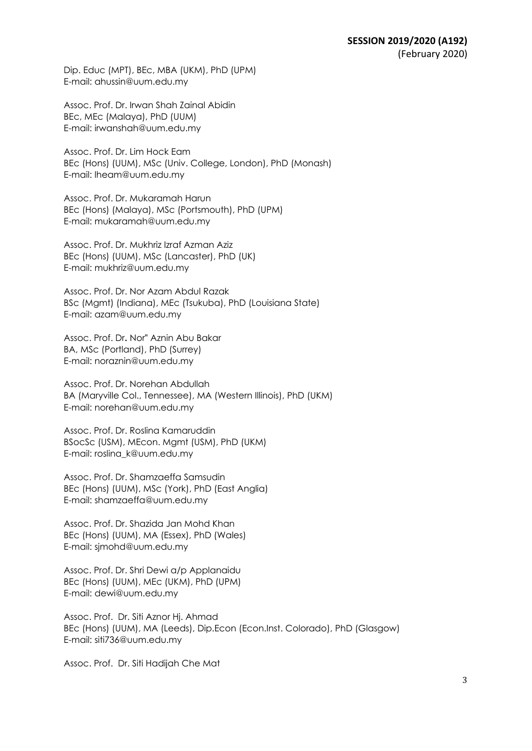Dip. Educ (MPT), BEc, MBA (UKM), PhD (UPM) E-mail: ahussin@uum.edu.my

Assoc. Prof. Dr. Irwan Shah Zainal Abidin BEc, MEc (Malaya), PhD (UUM) E-mail: irwanshah@uum.edu.my

Assoc. Prof. Dr. Lim Hock Eam BEc (Hons) (UUM), MSc (Univ. College, London), PhD (Monash) E-mail: lheam@uum.edu.my

Assoc. Prof. Dr. Mukaramah Harun BEc (Hons) (Malaya), MSc (Portsmouth), PhD (UPM) E-mail: mukaramah@uum.edu.my

Assoc. Prof. Dr. Mukhriz Izraf Azman Aziz BEc (Hons) (UUM), MSc (Lancaster), PhD (UK) E-mail: mukhriz@uum.edu.my

Assoc. Prof. Dr. Nor Azam Abdul Razak BSc (Mgmt) (Indiana), MEc (Tsukuba), PhD (Louisiana State) E-mail: azam@uum.edu.my

Assoc. Prof. Dr**.** Nor" Aznin Abu Bakar BA, MSc (Portland), PhD (Surrey) E-mail: noraznin@uum.edu.my

Assoc. Prof. Dr. Norehan Abdullah BA (Maryville Col., Tennessee), MA (Western Illinois), PhD (UKM) E-mail: norehan@uum.edu.my

Assoc. Prof. Dr. Roslina Kamaruddin BSocSc (USM), MEcon. Mgmt (USM), PhD (UKM) E-mail: roslina\_k@uum.edu.my

Assoc. Prof. Dr. Shamzaeffa Samsudin BEc (Hons) (UUM), MSc (York), PhD (East Anglia) E-mail: shamzaeffa@uum.edu.my

Assoc. Prof. Dr. Shazida Jan Mohd Khan BEc (Hons) (UUM), MA (Essex), PhD (Wales) E-mail: sjmohd@uum.edu.my

Assoc. Prof. Dr. Shri Dewi a/p Applanaidu BEc (Hons) (UUM), MEc (UKM), PhD (UPM) E-mail: dewi@uum.edu.my

Assoc. Prof. Dr. Siti Aznor Hj. Ahmad BEc (Hons) (UUM), MA (Leeds), Dip.Econ (Econ.Inst. Colorado), PhD (Glasgow) E-mail: siti736@uum.edu.my

Assoc. Prof. Dr. Siti Hadijah Che Mat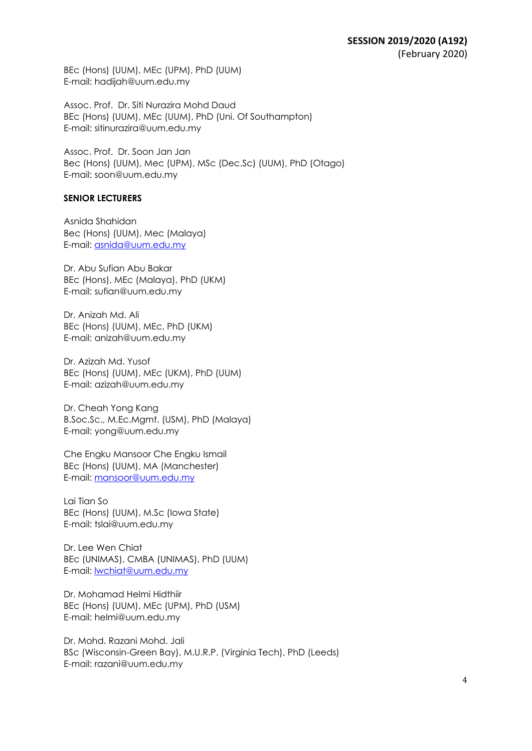BEc (Hons) (UUM), MEc (UPM), PhD (UUM) E-mail: hadijah@uum.edu.my

Assoc. Prof. Dr. Siti Nurazira Mohd Daud BEc (Hons) (UUM), MEc (UUM), PhD (Uni. Of Southampton) E-mail: sitinurazira@uum.edu.my

Assoc. Prof. Dr. Soon Jan Jan Bec (Hons) (UUM), Mec (UPM), MSc (Dec.Sc) (UUM), PhD (Otago) E-mail: soon@uum.edu.my

#### **SENIOR LECTURERS**

Asnida Shahidan Bec (Hons) (UUM), Mec (Malaya) E-mail: asnida@uum.edu.my

Dr. Abu Sufian Abu Bakar BEc (Hons), MEc (Malaya), PhD (UKM) E-mail: sufian@uum.edu.my

Dr. Anizah Md. Ali BEc (Hons) (UUM), MEc, PhD (UKM) E-mail: anizah@uum.edu.my

Dr. Azizah Md. Yusof BEc (Hons) (UUM), MEc (UKM), PhD (UUM) E-mail: azizah@uum.edu.my

Dr. Cheah Yong Kang B.Soc.Sc., M.Ec.Mgmt. (USM), PhD (Malaya) E-mail: yong@uum.edu.my

Che Engku Mansoor Che Engku Ismail BEc (Hons) (UUM), MA (Manchester) E-mail: mansoor@uum.edu.my

Lai Tian So BEc (Hons) (UUM), M.Sc (Iowa State) E-mail: tslai@uum.edu.my

Dr. Lee Wen Chiat BEc (UNIMAS), CMBA (UNIMAS), PhD (UUM) E-mail: lwchiat@uum.edu.my

Dr. Mohamad Helmi Hidthiir BEc (Hons) (UUM), MEc (UPM), PhD (USM) E-mail: helmi@uum.edu.my

Dr. Mohd. Razani Mohd. Jali BSc (Wisconsin-Green Bay), M.U.R.P. (Virginia Tech), PhD (Leeds) E-mail: razani@uum.edu.my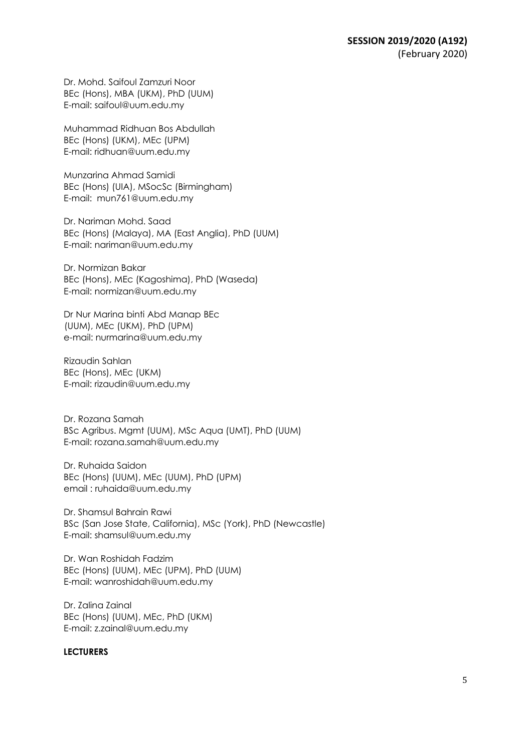Dr. Mohd. Saifoul Zamzuri Noor BEc (Hons), MBA (UKM), PhD (UUM) E-mail: saifoul@uum.edu.my

Muhammad Ridhuan Bos Abdullah BEc (Hons) (UKM), MEc (UPM) E-mail: ridhuan@uum.edu.my

Munzarina Ahmad Samidi BEc (Hons) (UIA), MSocSc (Birmingham) E-mail: mun761@uum.edu.my

Dr. Nariman Mohd. Saad BEc (Hons) (Malaya), MA (East Anglia), PhD (UUM) E-mail: nariman@uum.edu.my

Dr. Normizan Bakar BEc (Hons), MEc (Kagoshima), PhD (Waseda) E-mail: normizan@uum.edu.my

Dr Nur Marina binti Abd Manap BEc (UUM), MEc (UKM), PhD (UPM) e-mail: nurmarina@uum.edu.my

Rizaudin Sahlan BEc (Hons), MEc (UKM) E-mail: rizaudin@uum.edu.my

Dr. Rozana Samah BSc Agribus. Mgmt (UUM), MSc Aqua (UMT), PhD (UUM) E-mail: rozana.samah@uum.edu.my

Dr. Ruhaida Saidon BEc (Hons) (UUM), MEc (UUM), PhD (UPM) email : ruhaida@uum.edu.my

Dr. Shamsul Bahrain Rawi BSc (San Jose State, California), MSc (York), PhD (Newcastle) E-mail: shamsul@uum.edu.my

Dr. Wan Roshidah Fadzim BEc (Hons) (UUM), MEc (UPM), PhD (UUM) E-mail: wanroshidah@uum.edu.my

Dr. Zalina Zainal BEc (Hons) (UUM), MEc, PhD (UKM) E-mail: z.zainal@uum.edu.my

#### **LECTURERS**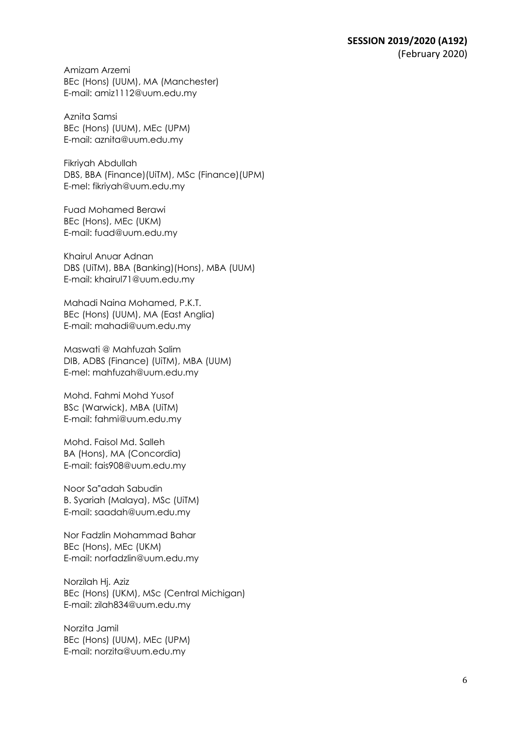Amizam Arzemi BEc (Hons) (UUM), MA (Manchester) E-mail: amiz1112@uum.edu.my

Aznita Samsi BEc (Hons) (UUM), MEc (UPM) E-mail: aznita@uum.edu.my

Fikriyah Abdullah DBS, BBA (Finance)(UiTM), MSc (Finance)(UPM) E-mel: fikriyah@uum.edu.my

Fuad Mohamed Berawi BEc (Hons), MEc (UKM) E-mail: fuad@uum.edu.my

Khairul Anuar Adnan DBS (UiTM), BBA (Banking)(Hons), MBA (UUM) E-mail: khairul71@uum.edu.my

Mahadi Naina Mohamed, P.K.T. BEc (Hons) (UUM), MA (East Anglia) E-mail: mahadi@uum.edu.my

Maswati @ Mahfuzah Salim DIB, ADBS (Finance) (UiTM), MBA (UUM) E-mel: mahfuzah@uum.edu.my

Mohd. Fahmi Mohd Yusof BSc (Warwick), MBA (UiTM) E-mail: fahmi@uum.edu.my

Mohd. Faisol Md. Salleh BA (Hons), MA (Concordia) E-mail: fais908@uum.edu.my

Noor Sa"adah Sabudin B. Syariah (Malaya), MSc (UiTM) E-mail: saadah@uum.edu.my

Nor Fadzlin Mohammad Bahar BEc (Hons), MEc (UKM) E-mail: norfadzlin@uum.edu.my

Norzilah Hj. Aziz BEc (Hons) (UKM), MSc (Central Michigan) E-mail: zilah834@uum.edu.my

Norzita Jamil BEc (Hons) (UUM), MEc (UPM) E-mail: norzita@uum.edu.my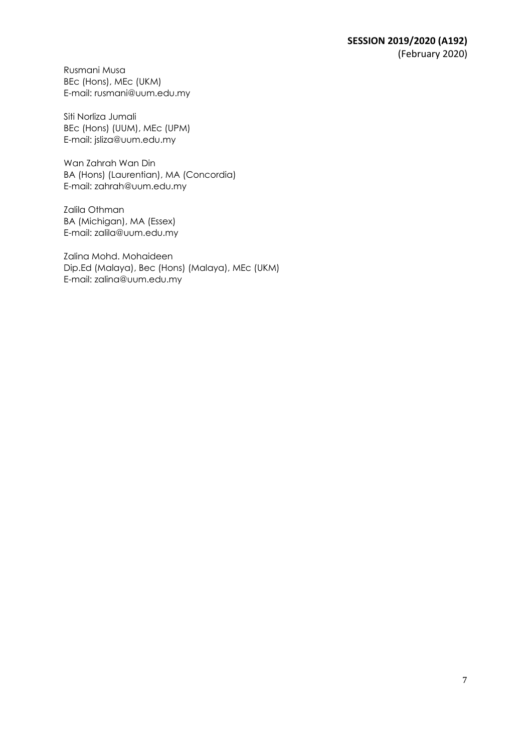Rusmani Musa BEc (Hons), MEc (UKM) E-mail: rusmani@uum.edu.my

Siti Norliza Jumali BEc (Hons) (UUM), MEc (UPM) E-mail: jsliza@uum.edu.my

Wan Zahrah Wan Din BA (Hons) (Laurentian), MA (Concordia) E-mail: zahrah@uum.edu.my

Zalila Othman BA (Michigan), MA (Essex) E-mail: zalila@uum.edu.my

Zalina Mohd. Mohaideen Dip.Ed (Malaya), Bec (Hons) (Malaya), MEc (UKM) E-mail: zalina@uum.edu.my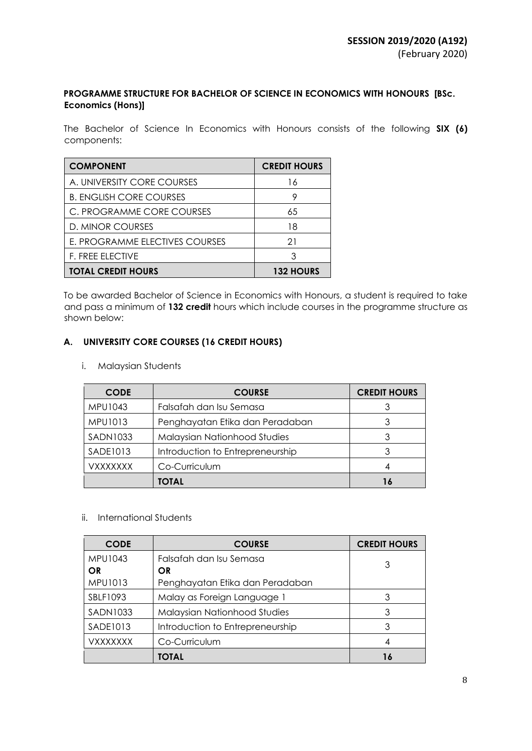### **PROGRAMME STRUCTURE FOR BACHELOR OF SCIENCE IN ECONOMICS WITH HONOURS [BSc. Economics (Hons)]**

The Bachelor of Science In Economics with Honours consists of the following **SIX (6)** components:

| <b>COMPONENT</b>               | <b>CREDIT HOURS</b> |
|--------------------------------|---------------------|
| A. UNIVERSITY CORE COURSES     | 16                  |
| <b>B. ENGLISH CORE COURSES</b> | 9                   |
| C. PROGRAMME CORE COURSES      | 65                  |
| D. MINOR COURSES               | 18                  |
| E. PROGRAMME ELECTIVES COURSES | 21                  |
| <b>F. FREE ELECTIVE</b>        | 3                   |
| <b>TOTAL CREDIT HOURS</b>      | <b>132 HOURS</b>    |

To be awarded Bachelor of Science in Economics with Honours, a student is required to take and pass a minimum of **132 credit** hours which include courses in the programme structure as shown below:

### **A. UNIVERSITY CORE COURSES (16 CREDIT HOURS)**

i. Malaysian Students

| <b>CODE</b>     | <b>COURSE</b>                       | <b>CREDIT HOURS</b> |
|-----------------|-------------------------------------|---------------------|
| MPU1043         | Falsafah dan Isu Semasa             | 3                   |
| MPU1013         | Penghayatan Etika dan Peradaban     | 3                   |
| <b>SADN1033</b> | <b>Malaysian Nationhood Studies</b> |                     |
| <b>SADE1013</b> | Introduction to Entrepreneurship    |                     |
| <b>VXXXXXXX</b> | Co-Curriculum                       |                     |
|                 | TOTAL                               |                     |

### ii. International Students

| <b>CODE</b> | <b>COURSE</b>                       | <b>CREDIT HOURS</b> |
|-------------|-------------------------------------|---------------------|
| MPU1043     | Falsafah dan Isu Semasa             | 3                   |
| OR          | <b>OR</b>                           |                     |
| MPU1013     | Penghayatan Etika dan Peradaban     |                     |
| SBLF1093    | Malay as Foreign Language 1         | 3                   |
| SADN1033    | <b>Malaysian Nationhood Studies</b> | 3                   |
| SADE1013    | Introduction to Entrepreneurship    | 3                   |
| VXXXXXXX    | Co-Curriculum                       | 4                   |
|             | TOTAL                               | 16                  |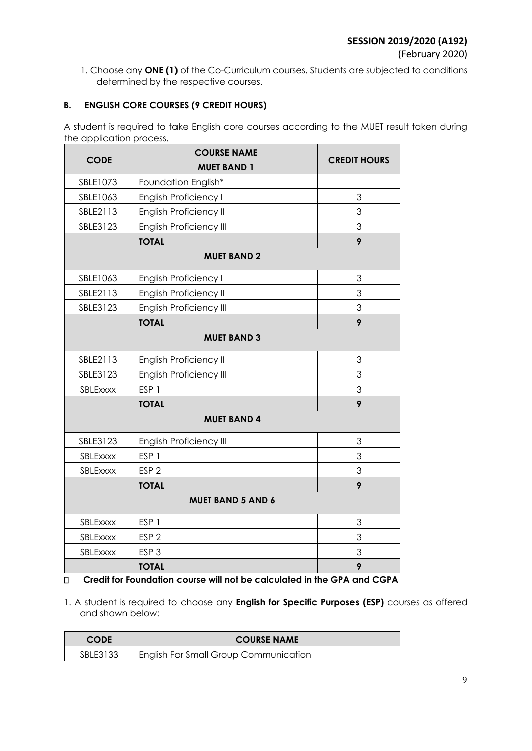(February 2020)

1. Choose any **ONE (1)** of the Co-Curriculum courses. Students are subjected to conditions determined by the respective courses.

### **B. ENGLISH CORE COURSES (9 CREDIT HOURS)**

A student is required to take English core courses according to the MUET result taken during the application process.

|                          | <b>COURSE NAME</b>             |                     |  |
|--------------------------|--------------------------------|---------------------|--|
| <b>CODE</b>              | <b>MUET BAND 1</b>             | <b>CREDIT HOURS</b> |  |
| SBLE1073                 | Foundation English*            |                     |  |
| SBLE1063                 | <b>English Proficiency I</b>   | 3                   |  |
| SBLE2113                 | English Proficiency II         | 3                   |  |
| SBLE3123                 | <b>English Proficiency III</b> | 3                   |  |
|                          | <b>TOTAL</b>                   | 9                   |  |
|                          | <b>MUET BAND 2</b>             |                     |  |
| SBLE1063                 | <b>English Proficiency I</b>   | 3                   |  |
| SBLE2113                 | English Proficiency II         | 3                   |  |
| SBLE3123                 | <b>English Proficiency III</b> | 3                   |  |
|                          | <b>TOTAL</b>                   | 9                   |  |
| <b>MUET BAND 3</b>       |                                |                     |  |
| SBLE2113                 | English Proficiency II         | 3                   |  |
| SBLE3123                 | English Proficiency III        | 3                   |  |
| SBLExxxx                 | ESP <sub>1</sub>               | 3                   |  |
|                          | <b>TOTAL</b>                   | 9                   |  |
| <b>MUET BAND 4</b>       |                                |                     |  |
| SBLE3123                 | <b>English Proficiency III</b> | 3                   |  |
| SBLExxxx                 | ESP <sub>1</sub>               | 3                   |  |
| SBLExxxx                 | ESP <sub>2</sub>               | 3                   |  |
|                          | <b>TOTAL</b>                   | 9                   |  |
| <b>MUET BAND 5 AND 6</b> |                                |                     |  |
| SBLExxxx                 | ESP <sub>1</sub>               | 3                   |  |
| SBLExxxx                 | ESP <sub>2</sub>               | 3                   |  |
| SBLExxxx                 | ESP <sub>3</sub>               | 3                   |  |
|                          | <b>TOTAL</b>                   | 9                   |  |

 $\Box$ **Credit for Foundation course will not be calculated in the GPA and CGPA** 

1. A student is required to choose any **English for Specific Purposes (ESP)** courses as offered and shown below:

| <b>CODE</b> | <b>COURSE NAME</b>                           |
|-------------|----------------------------------------------|
| SBLE3133    | <b>English For Small Group Communication</b> |
|             |                                              |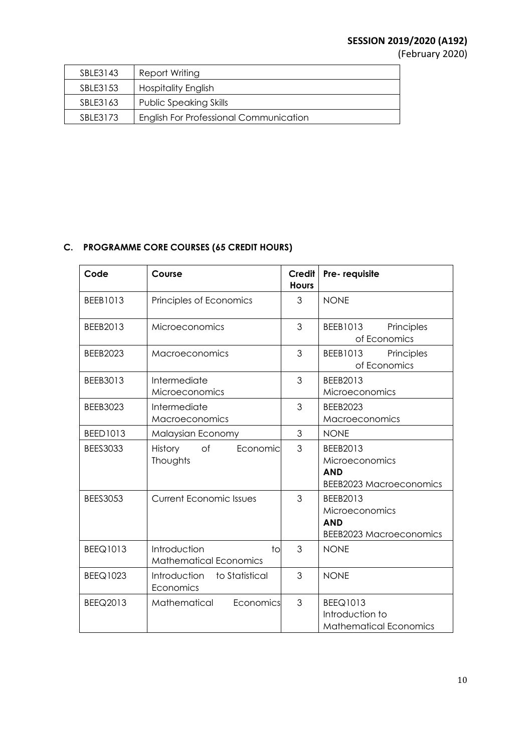# **SESSION 2019/2020 (A192)**

(February 2020)

| SBLE3143 | Report Writing                                |
|----------|-----------------------------------------------|
| SBLE3153 | <b>Hospitality English</b>                    |
| SBLE3163 | <b>Public Speaking Skills</b>                 |
| SBLE3173 | <b>English For Professional Communication</b> |

## **C. PROGRAMME CORE COURSES (65 CREDIT HOURS)**

| Code            | Course                                              | <b>Credit</b><br><b>Hours</b> | Pre-requisite                                                              |
|-----------------|-----------------------------------------------------|-------------------------------|----------------------------------------------------------------------------|
| BEEB1013        | Principles of Economics                             | 3                             | <b>NONE</b>                                                                |
| BEEB2013        | Microeconomics                                      | 3                             | BEEB1013<br>Principles<br>of Economics                                     |
| <b>BEEB2023</b> | Macroeconomics                                      | 3                             | BEEB1013 Principles<br>of Economics                                        |
| BEEB3013        | Intermediate<br>Microeconomics                      | 3                             | BEEB2013<br>Microeconomics                                                 |
| <b>BEEB3023</b> | Intermediate<br>Macroeconomics                      | 3                             | <b>BEEB2023</b><br>Macroeconomics                                          |
| BEED1013        | Malaysian Economy                                   | 3                             | <b>NONE</b>                                                                |
| <b>BEES3033</b> | of<br>Economic<br>History<br>Thoughts               | 3                             | BEEB2013<br>Microeconomics<br><b>AND</b><br><b>BEEB2023 Macroeconomics</b> |
| <b>BEES3053</b> | <b>Current Economic Issues</b>                      | 3                             | BEEB2013<br>Microeconomics<br><b>AND</b><br><b>BEEB2023 Macroeconomics</b> |
| <b>BEEQ1013</b> | Introduction<br>to<br><b>Mathematical Economics</b> | 3                             | <b>NONE</b>                                                                |
| <b>BEEQ1023</b> | to Statistical<br>Introduction<br>Economics         | 3                             | <b>NONE</b>                                                                |
| BEEQ2013        | Mathematical<br>Economics                           | 3                             | <b>BEEQ1013</b><br>Introduction to<br><b>Mathematical Economics</b>        |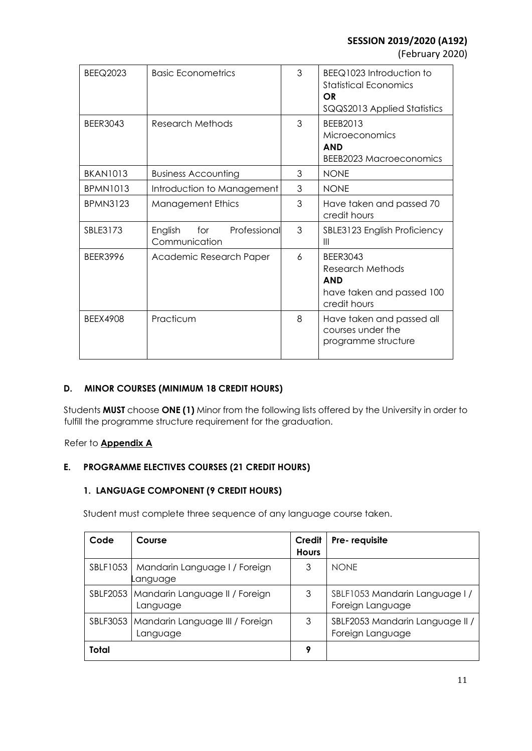(February 2020)

| <b>BEEQ2023</b> | <b>Basic Econometrics</b>                       | 3 | BEEQ1023 Introduction to<br><b>Statistical Economics</b><br>OR<br>SQQS2013 Applied Statistics  |
|-----------------|-------------------------------------------------|---|------------------------------------------------------------------------------------------------|
| <b>BEER3043</b> | Research Methods                                | 3 | BEEB2013<br>Microeconomics<br><b>AND</b><br><b>BEEB2023 Macroeconomics</b>                     |
| <b>BKAN1013</b> | <b>Business Accounting</b>                      | 3 | <b>NONF</b>                                                                                    |
| <b>BPMN1013</b> | Introduction to Management                      | 3 | <b>NONE</b>                                                                                    |
| <b>BPMN3123</b> | <b>Management Ethics</b>                        | 3 | Have taken and passed 70<br>credit hours                                                       |
| SBLE3173        | for<br>Professional<br>English<br>Communication | 3 | SBLE3123 English Proficiency<br>$\mathbf{III}$                                                 |
| <b>BEER3996</b> | Academic Research Paper                         | 6 | <b>BEER3043</b><br>Research Methods<br><b>AND</b><br>have taken and passed 100<br>credit hours |
| <b>BEEX4908</b> | Practicum                                       | 8 | Have taken and passed all<br>courses under the<br>programme structure                          |

### **D. MINOR COURSES (MINIMUM 18 CREDIT HOURS)**

Students **MUST** choose **ONE (1)** Minor from the following lists offered by the University in order to fulfill the programme structure requirement for the graduation.

### Refer to **Appendix A**

### **E. PROGRAMME ELECTIVES COURSES (21 CREDIT HOURS)**

### **1. LANGUAGE COMPONENT (9 CREDIT HOURS)**

Student must complete three sequence of any language course taken.

| Code         | Course                                                 | Credit<br><b>Hours</b> | Pre-requisite                                       |
|--------------|--------------------------------------------------------|------------------------|-----------------------------------------------------|
|              | SBLF1053   Mandarin Language I / Foreign<br>Language   | 3                      | <b>NONE</b>                                         |
|              | SBLF2053   Mandarin Language II / Foreign<br>Language  | 3                      | SBLF1053 Mandarin Language I/<br>Foreign Language   |
|              | SBLF3053   Mandarin Language III / Foreign<br>Language | 3                      | SBLF2053 Mandarin Language II /<br>Foreign Language |
| <b>Total</b> |                                                        | 9                      |                                                     |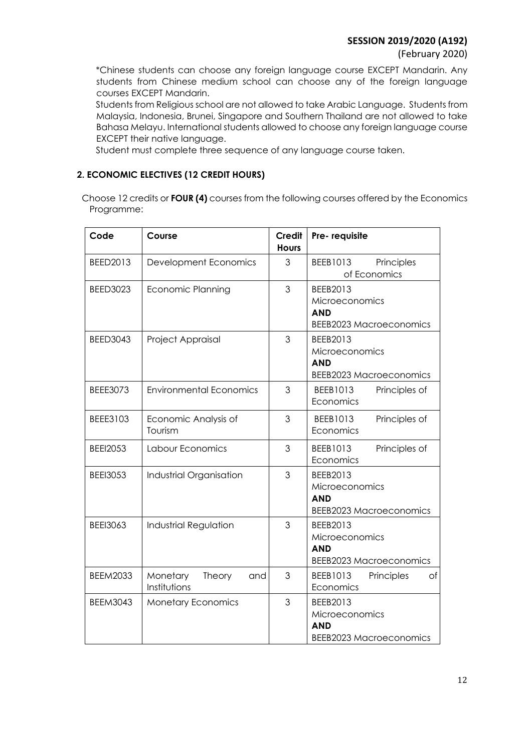### **SESSION 2019/2020 (A192)**

### (February 2020)

\*Chinese students can choose any foreign language course EXCEPT Mandarin. Any students from Chinese medium school can choose any of the foreign language courses EXCEPT Mandarin.

Students from Religious school are not allowed to take Arabic Language. Students from Malaysia, Indonesia, Brunei, Singapore and Southern Thailand are not allowed to take Bahasa Melayu. International students allowed to choose any foreign language course EXCEPT their native language.

Student must complete three sequence of any language course taken.

### **2. ECONOMIC ELECTIVES (12 CREDIT HOURS)**

 Choose 12 credits or **FOUR (4)** courses from the following courses offered by the Economics Programme:

| Code            | Course                                    | <b>Credit</b><br><b>Hours</b> | Pre-requisite                                                              |
|-----------------|-------------------------------------------|-------------------------------|----------------------------------------------------------------------------|
| BEED2013        | Development Economics                     | 3                             | BEEB1013<br>Principles<br>of Economics                                     |
| <b>BEED3023</b> | <b>Economic Planning</b>                  | 3                             | BEEB2013<br>Microeconomics<br><b>AND</b><br><b>BEEB2023 Macroeconomics</b> |
| <b>BEED3043</b> | Project Appraisal                         | 3                             | BEEB2013<br>Microeconomics<br><b>AND</b><br><b>BEEB2023 Macroeconomics</b> |
| <b>BEEE3073</b> | <b>Environmental Economics</b>            | 3                             | BEEB1013<br>Principles of<br>Economics                                     |
| <b>BEEE3103</b> | Economic Analysis of<br>Tourism           | 3                             | BEEB1013<br>Principles of<br>Economics                                     |
| <b>BEEI2053</b> | Labour Economics                          | 3                             | BEEB1013<br>Principles of<br>Economics                                     |
| <b>BEEI3053</b> | Industrial Organisation                   | 3                             | BEEB2013<br>Microeconomics<br><b>AND</b><br><b>BEEB2023 Macroeconomics</b> |
| <b>BEEI3063</b> | Industrial Regulation                     | 3                             | BEEB2013<br>Microeconomics<br><b>AND</b><br><b>BEEB2023 Macroeconomics</b> |
| <b>BEEM2033</b> | Monetary<br>Theory<br>and<br>Institutions | 3                             | BEEB1013<br>of<br>Principles<br>Economics                                  |
| <b>BEEM3043</b> | <b>Monetary Economics</b>                 | 3                             | BEEB2013<br>Microeconomics<br><b>AND</b><br><b>BEEB2023 Macroeconomics</b> |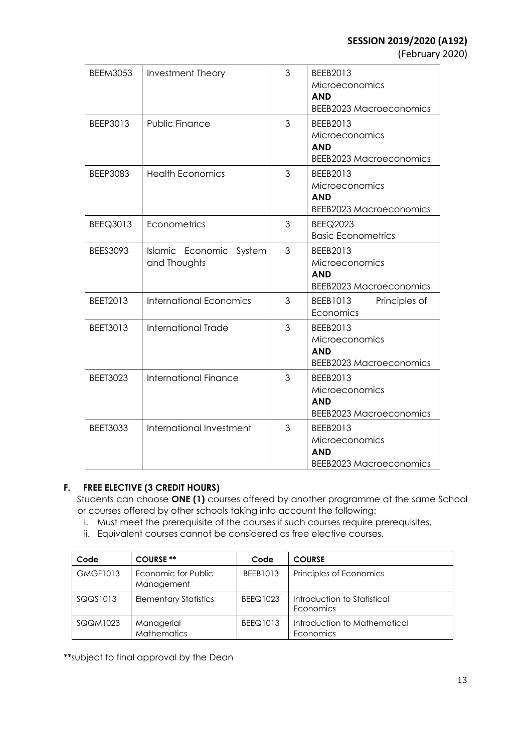(February 2020)

| <b>BEEM3053</b> | <b>Investment Theory</b>                | 3 | BEEB2013<br>Microeconomics<br><b>AND</b><br><b>BEEB2023 Macroeconomics</b> |
|-----------------|-----------------------------------------|---|----------------------------------------------------------------------------|
| BEEP3013        | Public Finance                          | 3 | BEEB2013<br>Microeconomics<br><b>AND</b><br><b>BEEB2023 Macroeconomics</b> |
| <b>BEEP3083</b> | <b>Health Economics</b>                 | 3 | BEEB2013<br>Microeconomics<br><b>AND</b><br><b>BEEB2023 Macroeconomics</b> |
| BEEQ3013        | Econometrics                            | 3 | <b>BEEQ2023</b><br><b>Basic Econometrics</b>                               |
| <b>BEES3093</b> | Islamic Economic System<br>and Thoughts | 3 | BEEB2013<br>Microeconomics<br><b>AND</b><br><b>BEEB2023 Macroeconomics</b> |
| BEET2013        | <b>International Economics</b>          | 3 | Principles of<br>BEEB1013<br>Economics                                     |
| BEET3013        | International Trade                     | 3 | BEEB2013<br>Microeconomics<br><b>AND</b><br><b>BEEB2023 Macroeconomics</b> |
| <b>BEET3023</b> | <b>International Finance</b>            | 3 | BEEB2013<br>Microeconomics<br><b>AND</b><br><b>BEEB2023 Macroeconomics</b> |
| <b>BEET3033</b> | International Investment                | 3 | BEEB2013<br>Microeconomics<br><b>AND</b><br><b>BEEB2023 Macroeconomics</b> |

### **F. FREE ELECTIVE (3 CREDIT HOURS)**

Students can choose **ONE (1)** courses offered by another programme at the same School or courses offered by other schools taking into account the following:

- i. Must meet the prerequisite of the courses if such courses require prerequisites.
- ii. Equivalent courses cannot be considered as free elective courses.

| Code            | <b>COURSE **</b>                  | Code            | <b>COURSE</b>                             |
|-----------------|-----------------------------------|-----------------|-------------------------------------------|
| <b>GMGF1013</b> | Economic for Public<br>Management | BEEB1013        | Principles of Economics                   |
| SQQS1013        | <b>Elementary Statistics</b>      | <b>BEEQ1023</b> | Introduction to Statistical<br>Economics  |
| SQQM1023        | Managerial<br><b>Mathematics</b>  | BEEQ1013        | Introduction to Mathematical<br>Economics |

\*\*subject to final approval by the Dean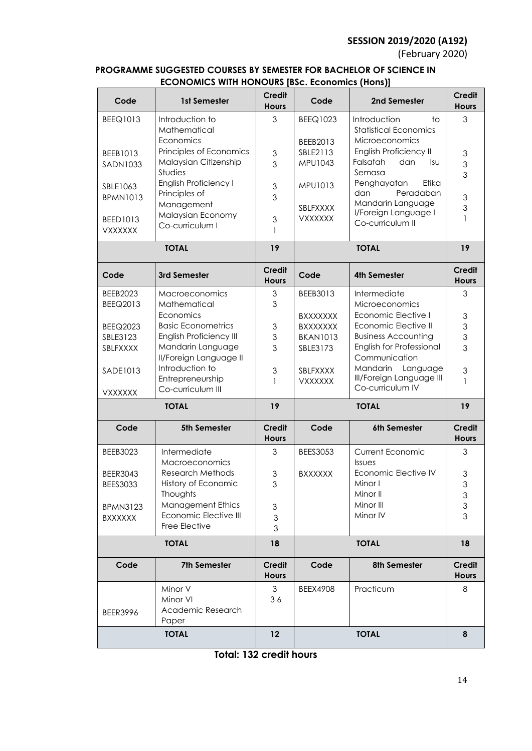# **SESSION 2019/2020 (A192)**

(February 2020)

### **PROGRAMME SUGGESTED COURSES BY SEMESTER FOR BACHELOR OF SCIENCE IN ECONOMICS WITH HONOURS [BSc. Economics (Hons)]**

| Code<br>1st Semester                                    | <b>Credit</b><br><b>Hours</b>  | Code                               | 2nd Semester                                     | <b>Credit</b><br><b>Hours</b>                          |
|---------------------------------------------------------|--------------------------------|------------------------------------|--------------------------------------------------|--------------------------------------------------------|
| <b>BEEQ1013</b><br>Introduction to                      | 3                              | <b>BEEQ1023</b>                    | Introduction<br>to                               | 3                                                      |
| Mathematical<br>Economics                               |                                | BEEB2013                           | <b>Statistical Economics</b><br>Microeconomics   |                                                        |
| Principles of Economics<br>BEEB1013                     | 3                              | SBLE2113                           | English Proficiency II                           | 3                                                      |
| Malaysian Citizenship<br><b>SADN1033</b>                | 3                              | MPU1043                            | Falsafah<br>dan<br>lsu.                          | $\mathfrak{S}$                                         |
| Studies                                                 |                                |                                    | Semasa                                           | 3                                                      |
| English Proficiency I<br>SBLE1063<br>Principles of      | $\ensuremath{\mathsf{3}}$      | MPU1013                            | Penghayatan<br>Etika<br>Peradaban<br>dan         |                                                        |
| <b>BPMN1013</b><br>Management                           | 3                              | SBLFXXXX                           | Mandarin Language                                | $\ensuremath{\mathsf{3}}$<br>$\ensuremath{\mathsf{3}}$ |
| Malaysian Economy<br>BEED1013                           | 3                              | <b>VXXXXXX</b>                     | I/Foreign Language I<br>Co-curriculum II         | 1                                                      |
| Co-curriculum I<br><b>VXXXXXX</b>                       | $\mathbf{1}$                   |                                    |                                                  |                                                        |
| <b>TOTAL</b>                                            | 19                             |                                    | <b>TOTAL</b>                                     | 19                                                     |
| Code<br>3rd Semester                                    | <b>Credit</b><br><b>Hours</b>  | Code                               | <b>4th Semester</b>                              | <b>Credit</b><br><b>Hours</b>                          |
| BEEB2023<br>Macroeconomics                              | $\mathfrak{S}$                 | BEEB3013                           | Intermediate                                     | 3                                                      |
| BEEQ2013<br>Mathematical                                | 3                              |                                    | Microeconomics                                   |                                                        |
| Economics<br><b>Basic Econometrics</b>                  |                                | <b>BXXXXXXX</b>                    | Economic Elective I<br>Economic Elective II      | $\ensuremath{\mathsf{3}}$                              |
| <b>BEEQ2023</b><br>English Proficiency III<br>SBLE3123  | $\ensuremath{\mathsf{3}}$<br>3 | <b>BXXXXXXX</b><br><b>BKAN1013</b> | <b>Business Accounting</b>                       | $\ensuremath{\mathsf{3}}$<br>$\ensuremath{\mathsf{3}}$ |
| Mandarin Language<br>SBLFXXXX                           | 3                              | SBLE3173                           | English for Professional                         | 3                                                      |
| II/Foreign Language II                                  |                                |                                    | Communication                                    |                                                        |
| Introduction to<br>SADE1013<br>Entrepreneurship         | 3<br>1                         | SBLFXXXX                           | Mandarin<br>Language<br>III/Foreign Language III | $\mathfrak 3$<br>$\mathbf{1}$                          |
| Co-curriculum III<br><b>VXXXXXX</b>                     |                                | <b>VXXXXXX</b>                     | Co-curriculum IV                                 |                                                        |
| <b>TOTAL</b>                                            | 19                             |                                    | <b>TOTAL</b>                                     | 19                                                     |
| Code<br>5th Semester                                    | <b>Credit</b>                  | Code                               | 6th Semester                                     | <b>Credit</b>                                          |
|                                                         | <b>Hours</b>                   |                                    |                                                  | <b>Hours</b>                                           |
| <b>BEEB3023</b><br>Intermediate<br>Macroeconomics       | 3                              | <b>BEES3053</b>                    | <b>Current Economic</b><br><b>Issues</b>         | 3                                                      |
| <b>Research Methods</b><br><b>BEER3043</b>              | 3                              | <b>BXXXXXX</b>                     | Economic Elective IV                             | 3                                                      |
| History of Economic<br><b>BEES3033</b>                  | 3                              |                                    | Minor I                                          | 3                                                      |
| Thoughts<br><b>Management Ethics</b><br><b>BPMN3123</b> | 3                              |                                    | Minor II<br>Minor III                            | 3<br>3                                                 |
| Economic Elective III<br><b>BXXXXXX</b>                 | 3                              |                                    | Minor IV                                         | 3                                                      |
| Free Elective                                           | 3                              |                                    |                                                  |                                                        |
| <b>TOTAL</b>                                            | 18                             |                                    | <b>TOTAL</b>                                     | 18                                                     |
| Code<br><b>7th Semester</b>                             | Credit<br><b>Hours</b>         | Code                               | 8th Semester                                     | <b>Credit</b><br><b>Hours</b>                          |
| Minor V                                                 | $\mathfrak{S}$                 | <b>BEEX4908</b>                    | Practicum                                        | 8                                                      |
| Minor VI                                                | 36                             |                                    |                                                  |                                                        |
| Academic Research<br><b>BEER3996</b><br>Paper           |                                |                                    |                                                  |                                                        |
|                                                         |                                |                                    |                                                  |                                                        |

**Total: 132 credit hours**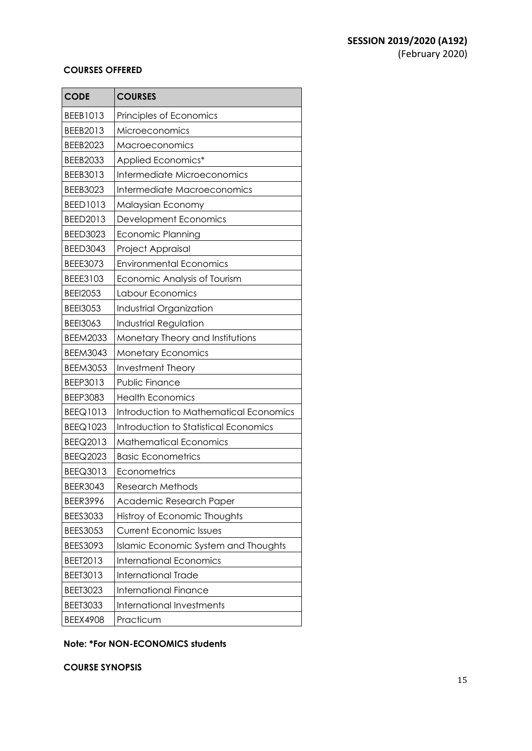#### **COURSES OFFERED**

| <b>CODE</b>     | <b>COURSES</b>                              |
|-----------------|---------------------------------------------|
| BEEB1013        | Principles of Economics                     |
| BEEB2013        | Microeconomics                              |
| <b>BEEB2023</b> | Macroeconomics                              |
| <b>BEEB2033</b> | Applied Economics*                          |
| BEEB3013        | Intermediate Microeconomics                 |
| BEEB3023        | Intermediate Macroeconomics                 |
| BEED1013        | Malaysian Economy                           |
| BEED2013        | Development Economics                       |
| <b>BEED3023</b> | Economic Planning                           |
| <b>BEED3043</b> | Project Appraisal                           |
| BEEE3073        | <b>Environmental Economics</b>              |
| BEEE3103        | Economic Analysis of Tourism                |
| <b>BEEI2053</b> | Labour Economics                            |
| <b>BEEI3053</b> | Industrial Organization                     |
| <b>BEEI3063</b> | Industrial Regulation                       |
| <b>BEEM2033</b> | Monetary Theory and Institutions            |
| <b>BEEM3043</b> | <b>Monetary Economics</b>                   |
| <b>BEEM3053</b> | <b>Investment Theory</b>                    |
| BEEP3013        | <b>Public Finance</b>                       |
| <b>BEEP3083</b> | <b>Health Economics</b>                     |
| BEEQ1013        | Introduction to Mathematical Economics      |
| BEEQ1023        | Introduction to Statistical Economics       |
| BEEQ2013        | <b>Mathematical Economics</b>               |
| BEEQ2023        | <b>Basic Econometrics</b>                   |
| BEEQ3013        | Econometrics                                |
| <b>BEER3043</b> | <b>Research Methods</b>                     |
| <b>BEER3996</b> | Academic Research Paper                     |
| <b>BEES3033</b> | Histroy of Economic Thoughts                |
| <b>BEES3053</b> | <b>Current Economic Issues</b>              |
| BEES3093        | <b>Islamic Economic System and Thoughts</b> |
| BEET2013        | <b>International Economics</b>              |
| BEET3013        | <b>International Trade</b>                  |
| <b>BEET3023</b> | <b>International Finance</b>                |
| <b>BEET3033</b> | <b>International Investments</b>            |
| <b>BEEX4908</b> | Practicum                                   |

### **Note: \*For NON-ECONOMICS students**

**COURSE SYNOPSIS**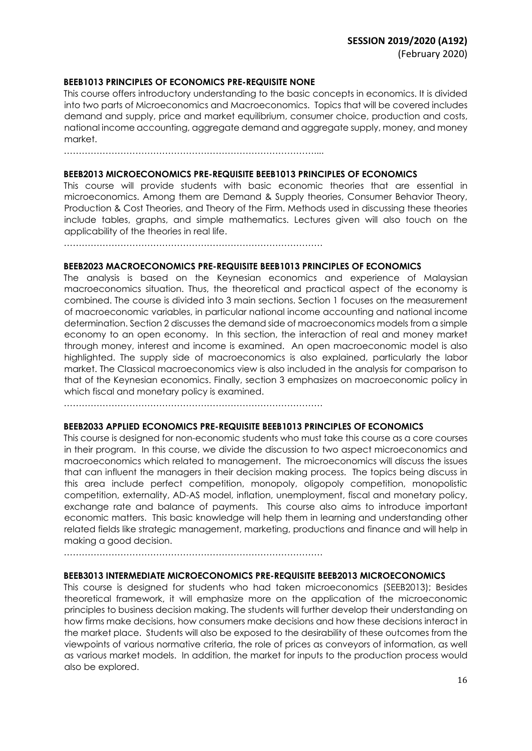#### **BEEB1013 PRINCIPLES OF ECONOMICS PRE-REQUISITE NONE**

This course offers introductory understanding to the basic concepts in economics. It is divided into two parts of Microeconomics and Macroeconomics. Topics that will be covered includes demand and supply, price and market equilibrium, consumer choice, production and costs, national income accounting, aggregate demand and aggregate supply, money, and money market.

…………………………………………………………………………....

#### **BEEB2013 MICROECONOMICS PRE-REQUISITE BEEB1013 PRINCIPLES OF ECONOMICS**

This course will provide students with basic economic theories that are essential in microeconomics. Among them are Demand & Supply theories, Consumer Behavior Theory, Production & Cost Theories, and Theory of the Firm. Methods used in discussing these theories include tables, graphs, and simple mathematics. Lectures given will also touch on the applicability of the theories in real life.

……………………………………………………………………………

#### **BEEB2023 MACROECONOMICS PRE-REQUISITE BEEB1013 PRINCIPLES OF ECONOMICS**

The analysis is based on the Keynesian economics and experience of Malaysian macroeconomics situation. Thus, the theoretical and practical aspect of the economy is combined. The course is divided into 3 main sections. Section 1 focuses on the measurement of macroeconomic variables, in particular national income accounting and national income determination. Section 2 discusses the demand side of macroeconomics models from a simple economy to an open economy. In this section, the interaction of real and money market through money, interest and income is examined. An open macroeconomic model is also highlighted. The supply side of macroeconomics is also explained, particularly the labor market. The Classical macroeconomics view is also included in the analysis for comparison to that of the Keynesian economics. Finally, section 3 emphasizes on macroeconomic policy in which fiscal and monetary policy is examined.

……………………………………………………………………………

#### **BEEB2033 APPLIED ECONOMICS PRE-REQUISITE BEEB1013 PRINCIPLES OF ECONOMICS**

This course is designed for non-economic students who must take this course as a core courses in their program. In this course, we divide the discussion to two aspect microeconomics and macroeconomics which related to management. The microeconomics will discuss the issues that can influent the managers in their decision making process. The topics being discuss in this area include perfect competition, monopoly, oligopoly competition, monopolistic competition, externality, AD-AS model, inflation, unemployment, fiscal and monetary policy, exchange rate and balance of payments. This course also aims to introduce important economic matters. This basic knowledge will help them in learning and understanding other related fields like strategic management, marketing, productions and finance and will help in making a good decision.

……………………………………………………………………………

#### **BEEB3013 INTERMEDIATE MICROECONOMICS PRE-REQUISITE BEEB2013 MICROECONOMICS**

This course is designed for students who had taken microeconomics (SEEB2013); Besides theoretical framework, it will emphasize more on the application of the microeconomic principles to business decision making. The students will further develop their understanding on how firms make decisions, how consumers make decisions and how these decisions interact in the market place. Students will also be exposed to the desirability of these outcomes from the viewpoints of various normative criteria, the role of prices as conveyors of information, as well as various market models. In addition, the market for inputs to the production process would also be explored.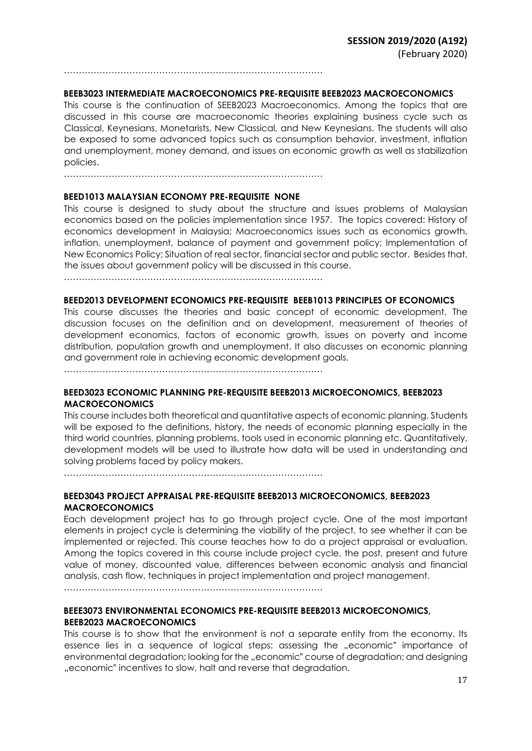……………………………………………………………………………

#### **BEEB3023 INTERMEDIATE MACROECONOMICS PRE-REQUISITE BEEB2023 MACROECONOMICS**

This course is the continuation of SEEB2023 Macroeconomics. Among the topics that are discussed in this course are macroeconomic theories explaining business cycle such as Classical, Keynesians, Monetarists, New Classical, and New Keynesians. The students will also be exposed to some advanced topics such as consumption behavior, investment, inflation and unemployment, money demand, and issues on economic growth as well as stabilization policies.

……………………………………………………………………………

#### **BEED1013 MALAYSIAN ECONOMY PRE-REQUISITE NONE**

This course is designed to study about the structure and issues problems of Malaysian economics based on the policies implementation since 1957. The topics covered: History of economics development in Malaysia; Macroeconomics issues such as economics growth, inflation, unemployment, balance of payment and government policy; Implementation of New Economics Policy; Situation of real sector, financial sector and public sector. Besides that, the issues about government policy will be discussed in this course.

……………………………………………………………………………

#### **BEED2013 DEVELOPMENT ECONOMICS PRE-REQUISITE BEEB1013 PRINCIPLES OF ECONOMICS**

This course discusses the theories and basic concept of economic development. The discussion focuses on the definition and on development, measurement of theories of development economics, factors of economic growth, issues on poverty and income distribution, population growth and unemployment. It also discusses on economic planning and government role in achieving economic development goals.

……………………………………………………………………………

#### **BEED3023 ECONOMIC PLANNING PRE-REQUISITE BEEB2013 MICROECONOMICS, BEEB2023 MACROECONOMICS**

This course includes both theoretical and quantitative aspects of economic planning. Students will be exposed to the definitions, history, the needs of economic planning especially in the third world countries, planning problems, tools used in economic planning etc. Quantitatively, development models will be used to illustrate how data will be used in understanding and solving problems faced by policy makers.

……………………………………………………………………………

### **BEED3043 PROJECT APPRAISAL PRE-REQUISITE BEEB2013 MICROECONOMICS, BEEB2023 MACROECONOMICS**

Each development project has to go through project cycle. One of the most important elements in project cycle is determining the viability of the project, to see whether it can be implemented or rejected. This course teaches how to do a project appraisal or evaluation. Among the topics covered in this course include project cycle, the post, present and future value of money, discounted value, differences between economic analysis and financial analysis, cash flow, techniques in project implementation and project management.

……………………………………………………………………………

### **BEEE3073 ENVIRONMENTAL ECONOMICS PRE-REQUISITE BEEB2013 MICROECONOMICS, BEEB2023 MACROECONOMICS**

This course is to show that the environment is not a separate entity from the economy. Its essence lies in a sequence of logical steps: assessing the "economic" importance of environmental degradation; looking for the "economic" course of degradation; and designing "economic" incentives to slow, halt and reverse that degradation.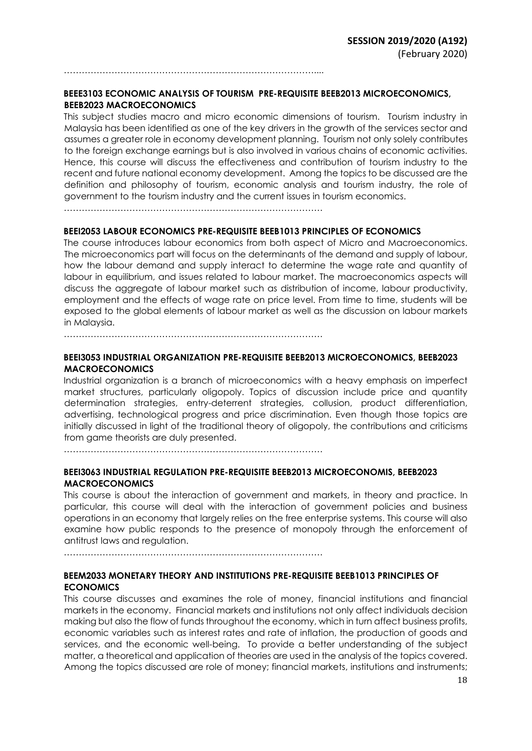**BEEE3103 ECONOMIC ANALYSIS OF TOURISM PRE-REQUISITE BEEB2013 MICROECONOMICS, BEEB2023 MACROECONOMICS** 

This subject studies macro and micro economic dimensions of tourism. Tourism industry in Malaysia has been identified as one of the key drivers in the growth of the services sector and assumes a greater role in economy development planning. Tourism not only solely contributes to the foreign exchange earnings but is also involved in various chains of economic activities. Hence, this course will discuss the effectiveness and contribution of tourism industry to the recent and future national economy development. Among the topics to be discussed are the definition and philosophy of tourism, economic analysis and tourism industry, the role of government to the tourism industry and the current issues in tourism economics.

……………………………………………………………………………

…………………………………………………………………………....

#### **BEEI2053 LABOUR ECONOMICS PRE-REQUISITE BEEB1013 PRINCIPLES OF ECONOMICS**

The course introduces labour economics from both aspect of Micro and Macroeconomics. The microeconomics part will focus on the determinants of the demand and supply of labour, how the labour demand and supply interact to determine the wage rate and quantity of labour in equilibrium, and issues related to labour market. The macroeconomics aspects will discuss the aggregate of labour market such as distribution of income, labour productivity, employment and the effects of wage rate on price level. From time to time, students will be exposed to the global elements of labour market as well as the discussion on labour markets in Malaysia.

……………………………………………………………………………

#### **BEEI3053 INDUSTRIAL ORGANIZATION PRE-REQUISITE BEEB2013 MICROECONOMICS, BEEB2023 MACROECONOMICS**

Industrial organization is a branch of microeconomics with a heavy emphasis on imperfect market structures, particularly oligopoly. Topics of discussion include price and quantity determination strategies, entry-deterrent strategies, collusion, product differentiation, advertising, technological progress and price discrimination. Even though those topics are initially discussed in light of the traditional theory of oligopoly, the contributions and criticisms from game theorists are duly presented.

……………………………………………………………………………

#### **BEEI3063 INDUSTRIAL REGULATION PRE-REQUISITE BEEB2013 MICROECONOMIS, BEEB2023 MACROECONOMICS**

This course is about the interaction of government and markets, in theory and practice. In particular, this course will deal with the interaction of government policies and business operations in an economy that largely relies on the free enterprise systems. This course will also examine how public responds to the presence of monopoly through the enforcement of antitrust laws and regulation.

……………………………………………………………………………

#### **BEEM2033 MONETARY THEORY AND INSTITUTIONS PRE-REQUISITE BEEB1013 PRINCIPLES OF ECONOMICS**

This course discusses and examines the role of money, financial institutions and financial markets in the economy. Financial markets and institutions not only affect individuals decision making but also the flow of funds throughout the economy, which in turn affect business profits, economic variables such as interest rates and rate of inflation, the production of goods and services, and the economic well-being. To provide a better understanding of the subject matter, a theoretical and application of theories are used in the analysis of the topics covered. Among the topics discussed are role of money; financial markets, institutions and instruments;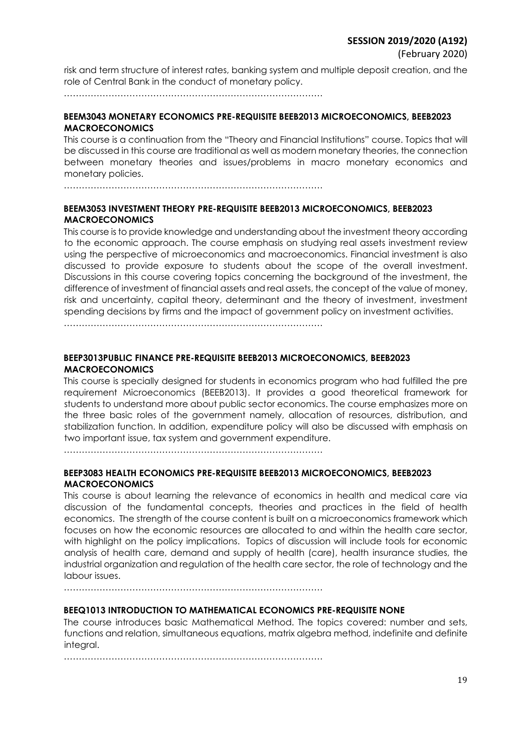risk and term structure of interest rates, banking system and multiple deposit creation, and the role of Central Bank in the conduct of monetary policy.

……………………………………………………………………………

### **BEEM3043 MONETARY ECONOMICS PRE-REQUISITE BEEB2013 MICROECONOMICS, BEEB2023 MACROECONOMICS**

This course is a continuation from the "Theory and Financial Institutions" course. Topics that will be discussed in this course are traditional as well as modern monetary theories, the connection between monetary theories and issues/problems in macro monetary economics and monetary policies.

……………………………………………………………………………

### **BEEM3053 INVESTMENT THEORY PRE-REQUISITE BEEB2013 MICROECONOMICS, BEEB2023 MACROECONOMICS**

This course is to provide knowledge and understanding about the investment theory according to the economic approach. The course emphasis on studying real assets investment review using the perspective of microeconomics and macroeconomics. Financial investment is also discussed to provide exposure to students about the scope of the overall investment. Discussions in this course covering topics concerning the background of the investment, the difference of investment of financial assets and real assets, the concept of the value of money, risk and uncertainty, capital theory, determinant and the theory of investment, investment spending decisions by firms and the impact of government policy on investment activities.

……………………………………………………………………………

### **BEEP3013PUBLIC FINANCE PRE-REQUISITE BEEB2013 MICROECONOMICS, BEEB2023 MACROECONOMICS**

This course is specially designed for students in economics program who had fulfilled the pre requirement Microeconomics (BEEB2013). It provides a good theoretical framework for students to understand more about public sector economics. The course emphasizes more on the three basic roles of the government namely, allocation of resources, distribution, and stabilization function. In addition, expenditure policy will also be discussed with emphasis on two important issue, tax system and government expenditure.

……………………………………………………………………………

### **BEEP3083 HEALTH ECONOMICS PRE-REQUISITE BEEB2013 MICROECONOMICS, BEEB2023 MACROECONOMICS**

This course is about learning the relevance of economics in health and medical care via discussion of the fundamental concepts, theories and practices in the field of health economics. The strength of the course content is built on a microeconomics framework which focuses on how the economic resources are allocated to and within the health care sector, with highlight on the policy implications. Topics of discussion will include tools for economic analysis of health care, demand and supply of health (care), health insurance studies, the industrial organization and regulation of the health care sector, the role of technology and the labour issues.

……………………………………………………………………………

### **BEEQ1013 INTRODUCTION TO MATHEMATICAL ECONOMICS PRE-REQUISITE NONE**

The course introduces basic Mathematical Method. The topics covered: number and sets, functions and relation, simultaneous equations, matrix algebra method, indefinite and definite integral.

……………………………………………………………………………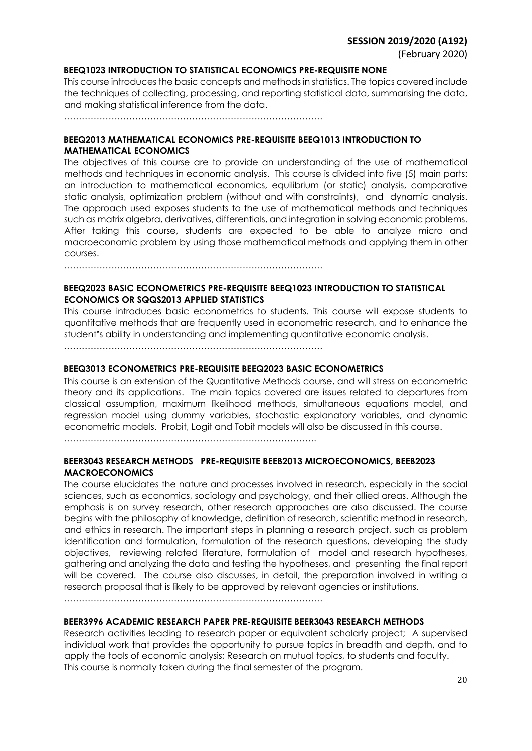#### **BEEQ1023 INTRODUCTION TO STATISTICAL ECONOMICS PRE-REQUISITE NONE**

This course introduces the basic concepts and methods in statistics. The topics covered include the techniques of collecting, processing, and reporting statistical data, summarising the data, and making statistical inference from the data.

……………………………………………………………………………

#### **BEEQ2013 MATHEMATICAL ECONOMICS PRE-REQUISITE BEEQ1013 INTRODUCTION TO MATHEMATICAL ECONOMICS**

The objectives of this course are to provide an understanding of the use of mathematical methods and techniques in economic analysis. This course is divided into five (5) main parts: an introduction to mathematical economics, equilibrium (or static) analysis, comparative static analysis, optimization problem (without and with constraints), and dynamic analysis. The approach used exposes students to the use of mathematical methods and techniques such as matrix algebra, derivatives, differentials, and integration in solving economic problems. After taking this course, students are expected to be able to analyze micro and macroeconomic problem by using those mathematical methods and applying them in other courses.

……………………………………………………………………………

### **BEEQ2023 BASIC ECONOMETRICS PRE-REQUISITE BEEQ1023 INTRODUCTION TO STATISTICAL ECONOMICS OR SQQS2013 APPLIED STATISTICS**

This course introduces basic econometrics to students. This course will expose students to quantitative methods that are frequently used in econometric research, and to enhance the student"s ability in understanding and implementing quantitative economic analysis.

……………………………………………………………………………

#### **BEEQ3013 ECONOMETRICS PRE-REQUISITE BEEQ2023 BASIC ECONOMETRICS**

This course is an extension of the Quantitative Methods course, and will stress on econometric theory and its applications. The main topics covered are issues related to departures from classical assumption, maximum likelihood methods, simultaneous equations model, and regression model using dummy variables, stochastic explanatory variables, and dynamic econometric models. Probit, Logit and Tobit models will also be discussed in this course.

………………………………………………………………………….

#### **BEER3043 RESEARCH METHODS PRE-REQUISITE BEEB2013 MICROECONOMICS, BEEB2023 MACROECONOMICS**

The course elucidates the nature and processes involved in research, especially in the social sciences, such as economics, sociology and psychology, and their allied areas. Although the emphasis is on survey research, other research approaches are also discussed. The course begins with the philosophy of knowledge, definition of research, scientific method in research, and ethics in research. The important steps in planning a research project, such as problem identification and formulation, formulation of the research questions, developing the study objectives, reviewing related literature, formulation of model and research hypotheses, gathering and analyzing the data and testing the hypotheses, and presenting the final report will be covered. The course also discusses, in detail, the preparation involved in writing a research proposal that is likely to be approved by relevant agencies or institutions.

……………………………………………………………………………

### **BEER3996 ACADEMIC RESEARCH PAPER PRE-REQUISITE BEER3043 RESEARCH METHODS**

Research activities leading to research paper or equivalent scholarly project; A supervised individual work that provides the opportunity to pursue topics in breadth and depth, and to apply the tools of economic analysis; Research on mutual topics, to students and faculty. This course is normally taken during the final semester of the program.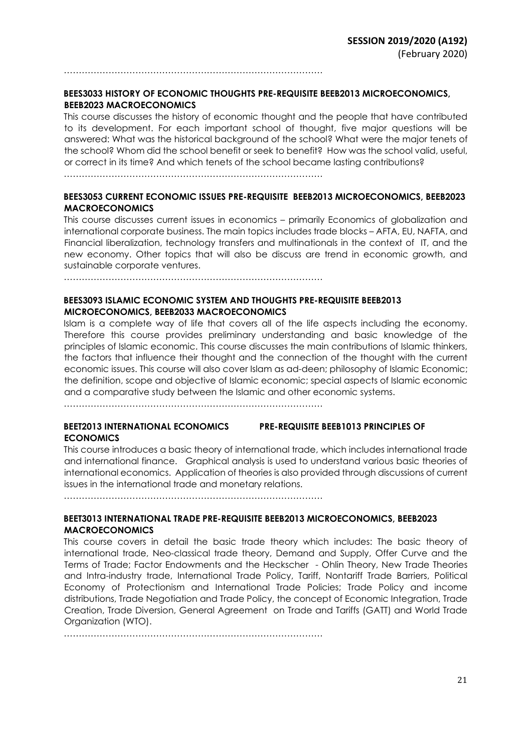……………………………………………………………………………

### **BEES3033 HISTORY OF ECONOMIC THOUGHTS PRE-REQUISITE BEEB2013 MICROECONOMICS, BEEB2023 MACROECONOMICS**

This course discusses the history of economic thought and the people that have contributed to its development. For each important school of thought, five major questions will be answered: What was the historical background of the school? What were the major tenets of the school? Whom did the school benefit or seek to benefit? How was the school valid, useful, or correct in its time? And which tenets of the school became lasting contributions?

……………………………………………………………………………

### **BEES3053 CURRENT ECONOMIC ISSUES PRE-REQUISITE BEEB2013 MICROECONOMICS, BEEB2023 MACROECONOMICS**

This course discusses current issues in economics – primarily Economics of globalization and international corporate business. The main topics includes trade blocks – AFTA, EU, NAFTA, and Financial liberalization, technology transfers and multinationals in the context of IT, and the new economy. Other topics that will also be discuss are trend in economic growth, and sustainable corporate ventures.

……………………………………………………………………………

#### **BEES3093 ISLAMIC ECONOMIC SYSTEM AND THOUGHTS PRE-REQUISITE BEEB2013 MICROECONOMICS, BEEB2033 MACROECONOMICS**

Islam is a complete way of life that covers all of the life aspects including the economy. Therefore this course provides preliminary understanding and basic knowledge of the principles of Islamic economic. This course discusses the main contributions of Islamic thinkers, the factors that influence their thought and the connection of the thought with the current economic issues. This course will also cover Islam as ad-deen; philosophy of Islamic Economic; the definition, scope and objective of Islamic economic; special aspects of Islamic economic and a comparative study between the Islamic and other economic systems.

……………………………………………………………………………

### **BEET2013 INTERNATIONAL ECONOMICS PRE-REQUISITE BEEB1013 PRINCIPLES OF ECONOMICS**

This course introduces a basic theory of international trade, which includes international trade and international finance. Graphical analysis is used to understand various basic theories of international economics. Application of theories is also provided through discussions of current issues in the international trade and monetary relations.

……………………………………………………………………………

### **BEET3013 INTERNATIONAL TRADE PRE-REQUISITE BEEB2013 MICROECONOMICS, BEEB2023 MACROECONOMICS**

This course covers in detail the basic trade theory which includes: The basic theory of international trade, Neo-classical trade theory, Demand and Supply, Offer Curve and the Terms of Trade; Factor Endowments and the Heckscher - Ohlin Theory, New Trade Theories and Intra-industry trade, International Trade Policy, Tariff, Nontariff Trade Barriers, Political Economy of Protectionism and International Trade Policies; Trade Policy and income distributions, Trade Negotiation and Trade Policy, the concept of Economic Integration, Trade Creation, Trade Diversion, General Agreement on Trade and Tariffs (GATT) and World Trade Organization (WTO).

……………………………………………………………………………